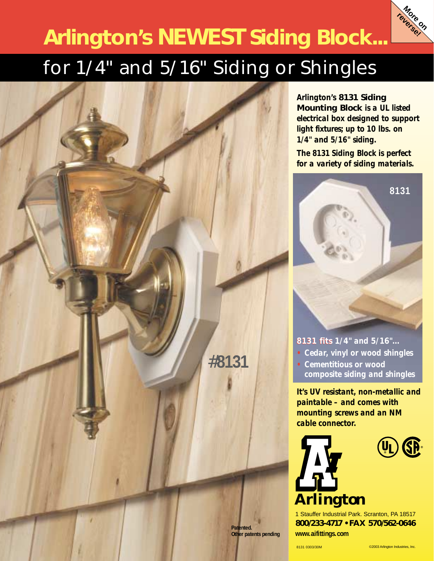

# **Arlington's NEWEST Siding Block...** *for 1/4" and 5/16" Siding or Shingles*



*Arlington's* **8131 Siding Mounting Block** *is a UL listed electrical box designed to support light fixtures; up to 10 lbs. on 1/4" and 5/16" siding.*

*The 8131 Siding Block is perfect for a variety of siding materials.*



*8131 fits 8131 fits 1/4" and 5/16"...*

- *• Cedar, vinyl or wood shingles*
- *• Cementitious or wood composite siding and shingles*

*It's UV resistant, non-metallic and paintable – and comes with mounting screws and an NM cable connector.*



**R R**

**800/233-4717 • FAX 570/562-0646 www.aifittings.com**